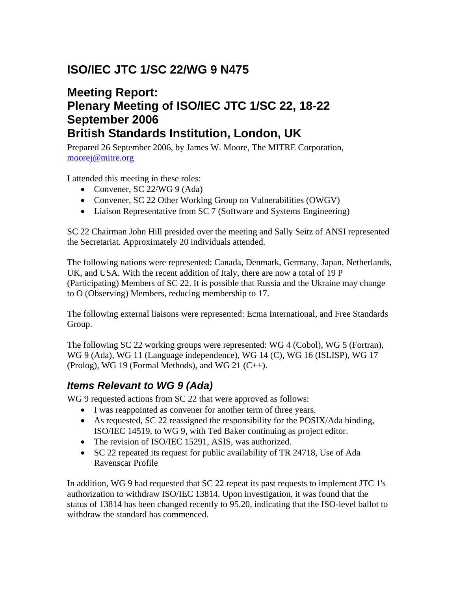# **ISO/IEC JTC 1/SC 22/WG 9 N475**

## **Meeting Report: Plenary Meeting of ISO/IEC JTC 1/SC 22, 18-22 September 2006 British Standards Institution, London, UK**

Prepared 26 September 2006, by James W. Moore, The MITRE Corporation, moorej@mitre.org

I attended this meeting in these roles:

- Convener, SC 22/WG 9 (Ada)
- Convener, SC 22 Other Working Group on Vulnerabilities (OWGV)
- Liaison Representative from SC 7 (Software and Systems Engineering)

SC 22 Chairman John Hill presided over the meeting and Sally Seitz of ANSI represented the Secretariat. Approximately 20 individuals attended.

The following nations were represented: Canada, Denmark, Germany, Japan, Netherlands, UK, and USA. With the recent addition of Italy, there are now a total of 19 P (Participating) Members of SC 22. It is possible that Russia and the Ukraine may change to O (Observing) Members, reducing membership to 17.

The following external liaisons were represented: Ecma International, and Free Standards Group.

The following SC 22 working groups were represented: WG 4 (Cobol), WG 5 (Fortran), WG 9 (Ada), WG 11 (Language independence), WG 14 (C), WG 16 (ISLISP), WG 17 (Prolog), WG 19 (Formal Methods), and WG 21  $(C_{++})$ .

#### *Items Relevant to WG 9 (Ada)*

WG 9 requested actions from SC 22 that were approved as follows:

- I was reappointed as convener for another term of three years.
- As requested, SC 22 reassigned the responsibility for the POSIX/Ada binding, ISO/IEC 14519, to WG 9, with Ted Baker continuing as project editor.
- The revision of ISO/IEC 15291, ASIS, was authorized.
- SC 22 repeated its request for public availability of TR 24718, Use of Ada Ravenscar Profile

In addition, WG 9 had requested that SC 22 repeat its past requests to implement JTC 1's authorization to withdraw ISO/IEC 13814. Upon investigation, it was found that the status of 13814 has been changed recently to 95.20, indicating that the ISO-level ballot to withdraw the standard has commenced.